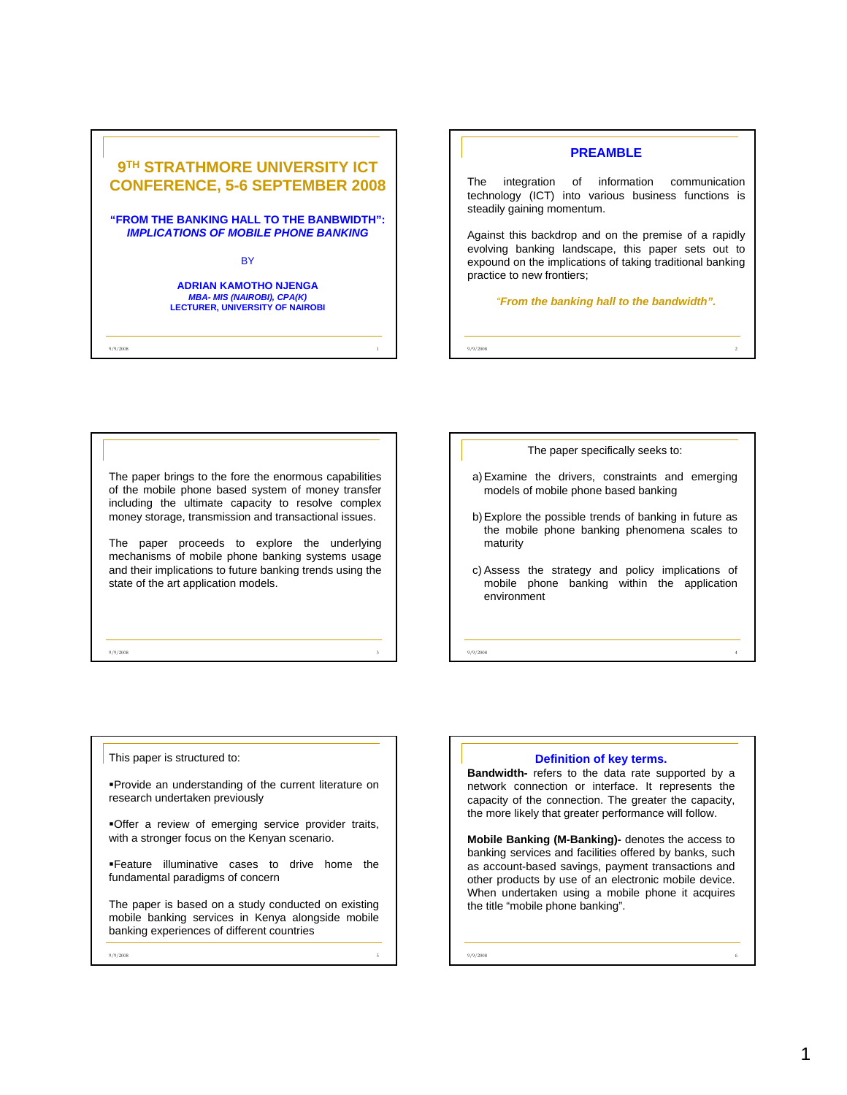



The paper brings to the fore the enormous capabilities of the mobile phone based system of money transfer including the ultimate capacity to resolve complex money storage, transmission and transactional issues.

The paper proceeds to explore the underlying mechanisms of mobile phone banking systems usage and their implications to future banking trends using the state of the art application models.

9/9/2008 3

The paper specifically seeks to:

- a) Examine the drivers, constraints and emerging models of mobile phone based banking
- b) Explore the possible trends of banking in future as the mobile phone banking phenomena scales to maturity
- c) Assess the strategy and policy implications of mobile phone banking within the application environment

9/9/2008 4

This paper is structured to:

Provide an understanding of the current literature on research undertaken previously

Offer a review of emerging service provider traits, with a stronger focus on the Kenyan scenario.

Feature illuminative cases to drive home the fundamental paradigms of concern

The paper is based on a study conducted on existing mobile banking services in Kenya alongside mobile banking experiences of different countries

9/9/2008 5

**Definition of key terms.**

**Bandwidth-** refers to the data rate supported by a network connection or interface. It represents the capacity of the connection. The greater the capacity, the more likely that greater performance will follow.

**Mobile Banking (M-Banking)-** denotes the access to banking services and facilities offered by banks, such as account-based savings, payment transactions and other products by use of an electronic mobile device. When undertaken using a mobile phone it acquires the title "mobile phone banking".

9/9/2008 6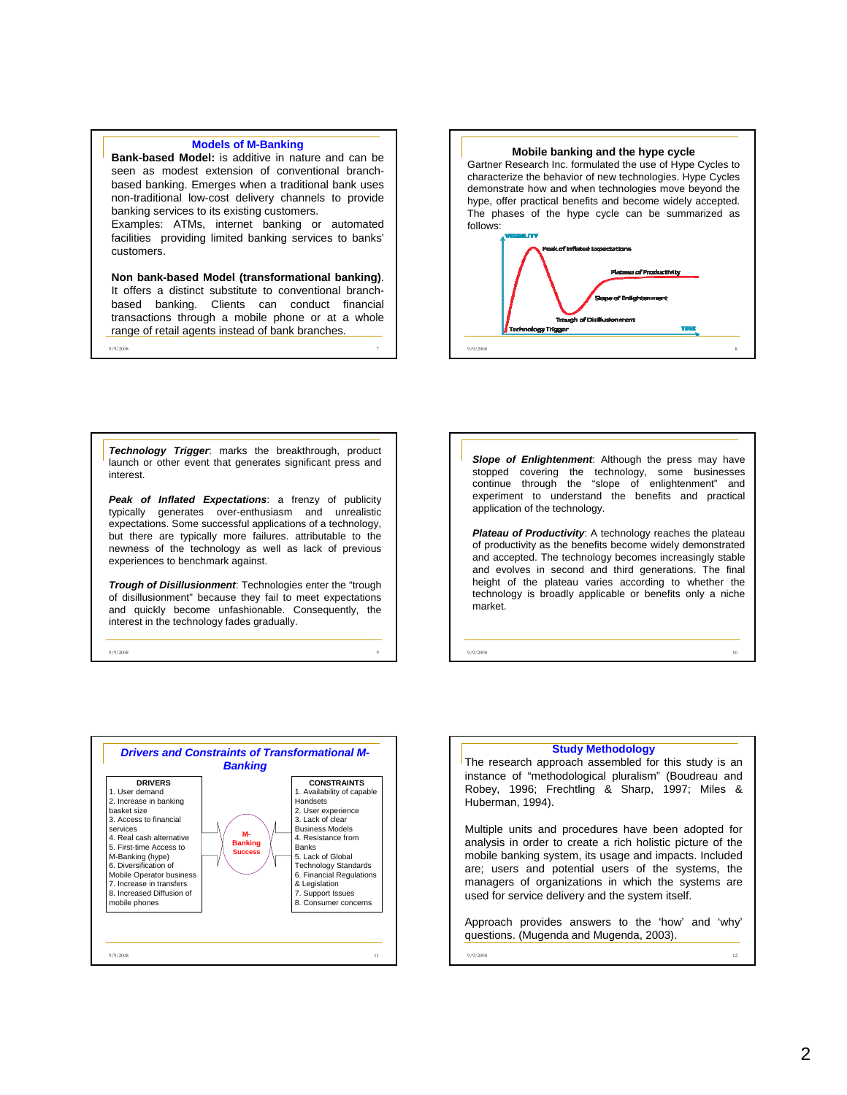## **Models of M-Banking**

**Bank-based Model:** is additive in nature and can be seen as modest extension of conventional branchbased banking. Emerges when a traditional bank uses non-traditional low-cost delivery channels to provide banking services to its existing customers.

Examples: ATMs, internet banking or automated facilities providing limited banking services to banks' customers.

**Non bank-based Model (transformational banking)**. It offers a distinct substitute to conventional branchbased banking. Clients can conduct financial transactions through a mobile phone or at a whole range of retail agents instead of bank branches.

9/9/2008 7



*Technology Trigger*: marks the breakthrough, product launch or other event that generates significant press and interest.

*Peak of Inflated Expectations*: a frenzy of publicity typically generates over-enthusiasm and unrealistic expectations. Some successful applications of a technology, but there are typically more failures. attributable to the newness of the technology as well as lack of previous experiences to benchmark against.

*Trough of Disillusionment*: Technologies enter the "trough of disillusionment" because they fail to meet expectations and quickly become unfashionable. Consequently, the interest in the technology fades gradually.

9/9/2008 9

*Slope of Enlightenment*: Although the press may have stopped covering the technology, some businesses continue through the "slope of enlightenment" and experiment to understand the benefits and practical application of the technology.

*Plateau of Productivity*: A technology reaches the plateau of productivity as the benefits become widely demonstrated and accepted. The technology becomes increasingly stable and evolves in second and third generations. The final height of the plateau varies according to whether the technology is broadly applicable or benefits only a niche market.



## **Study Methodology**

9/9/2008 10

The research approach assembled for this study is an instance of "methodological pluralism" (Boudreau and Robey, 1996; Frechtling & Sharp, 1997; Miles & Huberman, 1994).

Multiple units and procedures have been adopted for analysis in order to create a rich holistic picture of the mobile banking system, its usage and impacts. Included are; users and potential users of the systems, the managers of organizations in which the systems are used for service delivery and the system itself.

Approach provides answers to the 'how' and 'why' questions. (Mugenda and Mugenda, 2003).

9/9/2008 12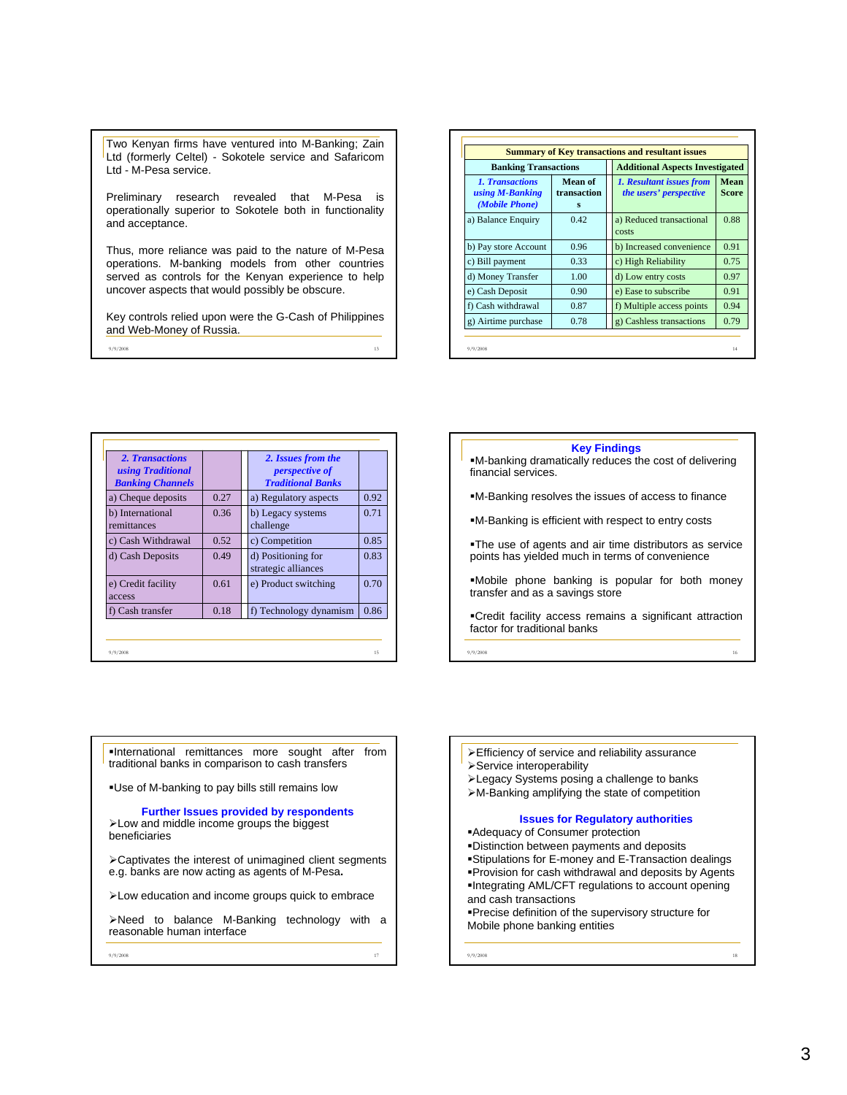Two Kenyan firms have ventured into M-Banking; Zain Ltd (formerly Celtel) - Sokotele service and Safaricom Ltd - M-Pesa service.

Preliminary research revealed that M-Pesa is operationally superior to Sokotele both in functionality and acceptance.

Thus, more reliance was paid to the nature of M-Pesa operations. M-banking models from other countries served as controls for the Kenyan experience to help uncover aspects that would possibly be obscure.

Key controls relied upon were the G-Cash of Philippines and Web-Money of Russia.

9/9/2008 13

| <b>Banking Transactions</b>                                 |                             | <b>Additional Aspects Investigated</b>             |               |
|-------------------------------------------------------------|-----------------------------|----------------------------------------------------|---------------|
| <b>1. Transactions</b><br>using M-Banking<br>(Mobile Phone) | Mean of<br>transaction<br>s | 1. Resultant issues from<br>the users' perspective | Mean<br>Score |
| a) Balance Enquiry                                          | 0.42                        | a) Reduced transactional<br>costs                  | 0.88          |
| b) Pay store Account                                        | 0.96                        | b) Increased convenience                           | 0.91          |
| c) Bill payment                                             | 0.33                        | c) High Reliability                                | 0.75          |
| d) Money Transfer                                           | 1.00                        | d) Low entry costs                                 | 0.97          |
| e) Cash Deposit                                             | 0.90                        | e) Ease to subscribe                               | 0.91          |
| f) Cash withdrawal                                          | 0.87                        | f) Multiple access points                          | 0.94          |
| g) Airtime purchase                                         | 0.78                        | g) Cashless transactions                           | 0.79          |

| using Traditional<br><b>Banking Channels</b><br>a) Cheque deposits<br>b) International<br>remittances | 0.27<br>0.36 | <i>perspective of</i><br><b>Traditional Banks</b><br>a) Regulatory aspects |      |
|-------------------------------------------------------------------------------------------------------|--------------|----------------------------------------------------------------------------|------|
|                                                                                                       |              |                                                                            | 0.92 |
|                                                                                                       |              |                                                                            |      |
|                                                                                                       |              | b) Legacy systems<br>challenge                                             | 0.71 |
| c) Cash Withdrawal                                                                                    | 0.52         | c) Competition                                                             | 0.85 |
| d) Cash Deposits                                                                                      | 0.49         | d) Positioning for<br>strategic alliances                                  | 0.83 |
| e) Credit facility<br>access                                                                          | 0.61         | e) Product switching                                                       | 0.70 |
| f) Cash transfer                                                                                      | 0.18         | f) Technology dynamism                                                     | 0.86 |

**Key Findings**

- M-banking dramatically reduces the cost of delivering financial services.
- M-Banking resolves the issues of access to finance
- M-Banking is efficient with respect to entry costs
- The use of agents and air time distributors as service points has yielded much in terms of convenience
- Mobile phone banking is popular for both money transfer and as a savings store
- Credit facility access remains a significant attraction factor for traditional banks

9/9/2008 16

International remittances more sought after from traditional banks in comparison to cash transfers

Use of M-banking to pay bills still remains low

**Further Issues provided by respondents**

¾Low and middle income groups the biggest beneficiaries

¾Captivates the interest of unimagined client segments e.g. banks are now acting as agents of M-Pesa**.**

¾Low education and income groups quick to embrace

¾Need to balance M-Banking technology with a reasonable human interface

9/9/2008 17

- ¾Efficiency of service and reliability assurance ¾Service interoperability
- ¾Legacy Systems posing a challenge to banks
- ¾M-Banking amplifying the state of competition

## **Issues for Regulatory authorities**

Adequacy of Consumer protection

- Distinction between payments and deposits
- Stipulations for E-money and E-Transaction dealings
- Provision for cash withdrawal and deposits by Agents
- Integrating AML/CFT regulations to account opening and cash transactions

9/9/2008 18

Precise definition of the supervisory structure for Mobile phone banking entities